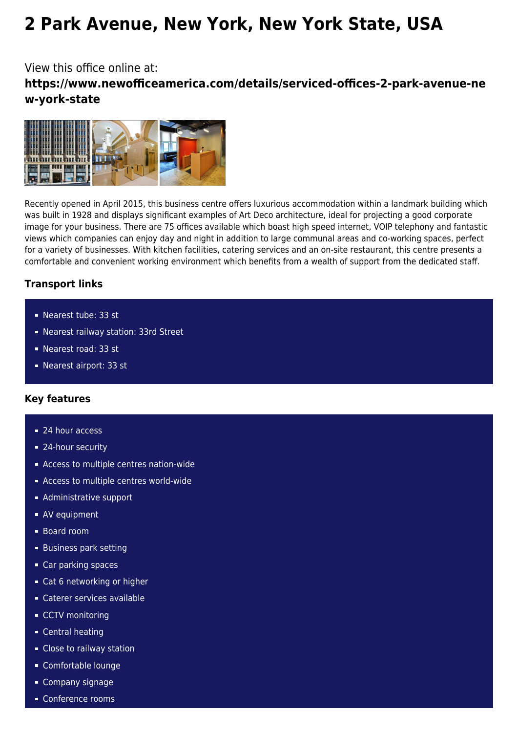# **2 Park Avenue, New York, New York State, USA**

View this office online at:

**https://www.newofficeamerica.com/details/serviced-offices-2-park-avenue-ne w-york-state**



Recently opened in April 2015, this business centre offers luxurious accommodation within a landmark building which was built in 1928 and displays significant examples of Art Deco architecture, ideal for projecting a good corporate image for your business. There are 75 offices available which boast high speed internet, VOIP telephony and fantastic views which companies can enjoy day and night in addition to large communal areas and co-working spaces, perfect for a variety of businesses. With kitchen facilities, catering services and an on-site restaurant, this centre presents a comfortable and convenient working environment which benefits from a wealth of support from the dedicated staff.

# **Transport links**

- Nearest tube: 33 st
- Nearest railway station: 33rd Street
- Nearest road: 33 st
- Nearest airport: 33 st

### **Key features**

- 24 hour access
- 24-hour security
- Access to multiple centres nation-wide
- **Access to multiple centres world-wide**
- **Administrative support**
- **AV** equipment
- Board room
- **Business park setting**
- Car parking spaces
- Cat 6 networking or higher
- Caterer services available
- **CCTV** monitoring
- **Central heating**
- Close to railway station
- Comfortable lounge
- **Company signage**
- Conference rooms